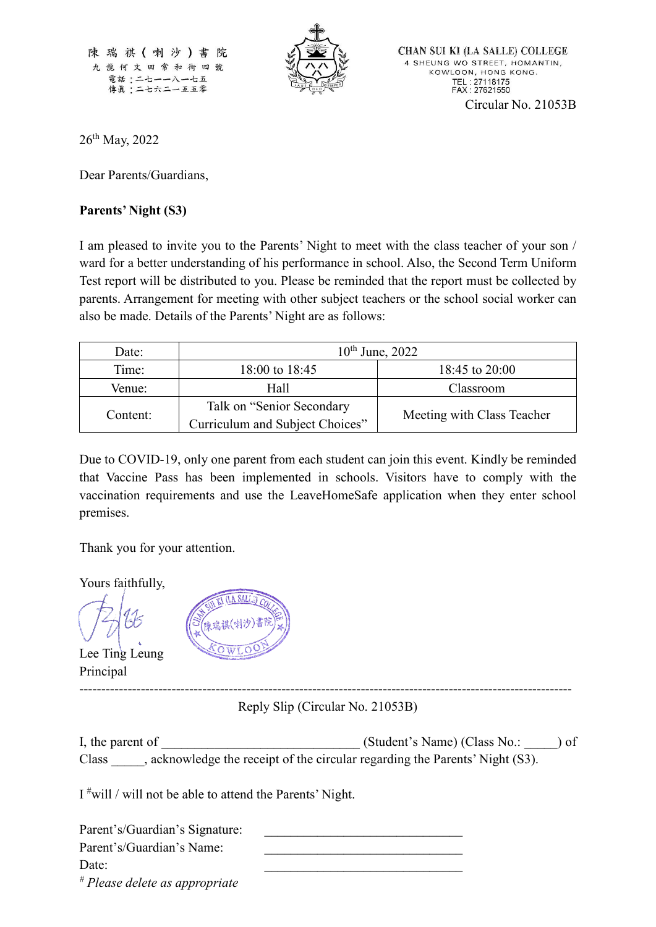陳瑞祺(喇沙)書院 九龍何文田常和街四號 電話:二七一一八一七五 傳眞:二七六二一五五零



CHAN SUI KI (LA SALLE) COLLEGE 4 SHEUNG WO STREET, HOMANTIN, KOWLOON, HONG KONG. TEL: 27118175<br>FAX: 27621550 Circular No. 21053B

26<sup>th</sup> May, 2022

Dear Parents/Guardians,

## **Parents' Night (S3)**

I am pleased to invite you to the Parents' Night to meet with the class teacher of your son / ward for a better understanding of his performance in school. Also, the Second Term Uniform Test report will be distributed to you. Please be reminded that the report must be collected by parents. Arrangement for meeting with other subject teachers or the school social worker can also be made. Details of the Parents' Night are as follows:

| Date:    | $10^{th}$ June, 2022                                         |                            |
|----------|--------------------------------------------------------------|----------------------------|
| Time:    | 18:00 to 18:45                                               | 18:45 to 20:00             |
| Venue:   | Hall                                                         | Classroom                  |
| Content: | Talk on "Senior Secondary<br>Curriculum and Subject Choices" | Meeting with Class Teacher |

Due to COVID-19, only one parent from each student can join this event. Kindly be reminded that Vaccine Pass has been implemented in schools. Visitors have to comply with the vaccination requirements and use the LeaveHomeSafe application when they enter school premises.

Thank you for your attention.

Yours faithfully,

Lee Ting Leung Principal



---------------------------------------------------------------------------------------------------------------- Reply Slip (Circular No. 21053B)

I, the parent of  $(Student's Name)$  (Class No.: ) of Class \_\_\_\_\_, acknowledge the receipt of the circular regarding the Parents' Night (S3).

I #will / will not be able to attend the Parents' Night.

| Parent's/Guardian's Signature:            |  |
|-------------------------------------------|--|
| Parent's/Guardian's Name:                 |  |
| Date:                                     |  |
| <sup>#</sup> Please delete as appropriate |  |